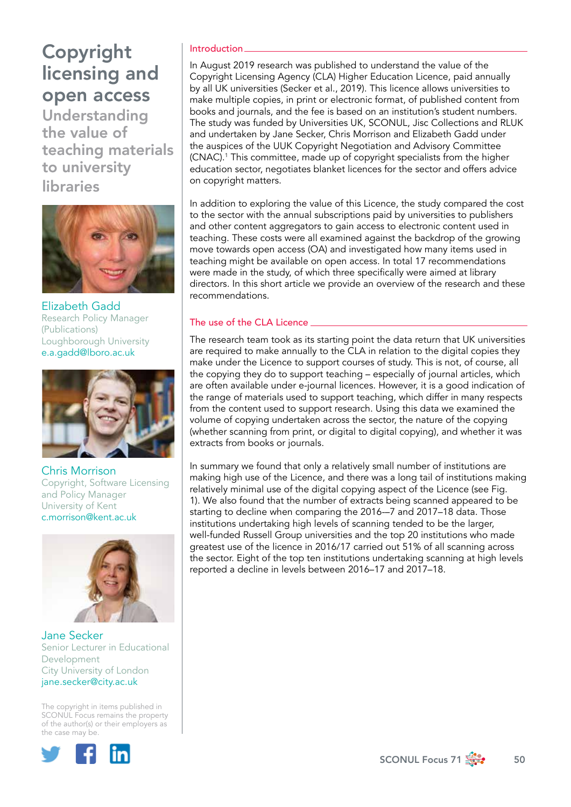# Copyright licensing and open access

Understanding the value of teaching materials to university libraries



Elizabeth Gadd Research Policy Manager (Publications) Loughborough University [e.a.gadd@lboro.ac.uk](mailto:e.a.gadd%40lboro.ac.uk?subject=)



Chris Morrison Copyright, Software Licensing and Policy Manager University of Kent [c.morrison@kent.ac.uk](mailto:c.morrison%40kent.ac.uk%20?subject=) 



Jane Secker Senior Lecturer in Educational Development City University of London [jane.secker@city.ac.uk](mailto:jane.secker%40city.ac.uk?subject=)

The copyright in items published in SCONUL Focus remains the property of the author(s) or their employers as the case may be.



## Introduction

In August 2019 research was published to understand the value of the Copyright Licensing Agency (CLA) Higher Education Licence, paid annually by all UK universities (Secker et al., 2019). This licence allows universities to make multiple copies, in print or electronic format, of published content from books and journals, and the fee is based on an institution's student numbers. The study was funded by Universities UK, SCONUL, Jisc Collections and RLUK and undertaken by Jane Secker, Chris Morrison and Elizabeth Gadd under the auspices of the UUK Copyright Negotiation and Advisory Committee (CNAC).1 This committee, made up of copyright specialists from the higher education sector, negotiates blanket licences for the sector and offers advice on copyright matters.

In addition to exploring the value of this Licence, the study compared the cost to the sector with the annual subscriptions paid by universities to publishers and other content aggregators to gain access to electronic content used in teaching. These costs were all examined against the backdrop of the growing move towards open access (OA) and investigated how many items used in teaching might be available on open access. In total 17 recommendations were made in the study, of which three specifically were aimed at library directors. In this short article we provide an overview of the research and these recommendations.

## The use of the CLA Licence

The research team took as its starting point the data return that UK universities are required to make annually to the CLA in relation to the digital copies they make under the Licence to support courses of study. This is not, of course, all the copying they do to support teaching – especially of journal articles, which are often available under e-journal licences. However, it is a good indication of the range of materials used to support teaching, which differ in many respects from the content used to support research. Using this data we examined the volume of copying undertaken across the sector, the nature of the copying (whether scanning from print, or digital to digital copying), and whether it was extracts from books or journals.

In summary we found that only a relatively small number of institutions are making high use of the Licence, and there was a long tail of institutions making relatively minimal use of the digital copying aspect of the Licence (see Fig. 1). We also found that the number of extracts being scanned appeared to be starting to decline when comparing the 2016-–7 and 2017–18 data. Those institutions undertaking high levels of scanning tended to be the larger, well-funded Russell Group universities and the top 20 institutions who made greatest use of the licence in 2016/17 carried out 51% of all scanning across the sector. Eight of the top ten institutions undertaking scanning at high levels reported a decline in levels between 2016–17 and 2017–18.

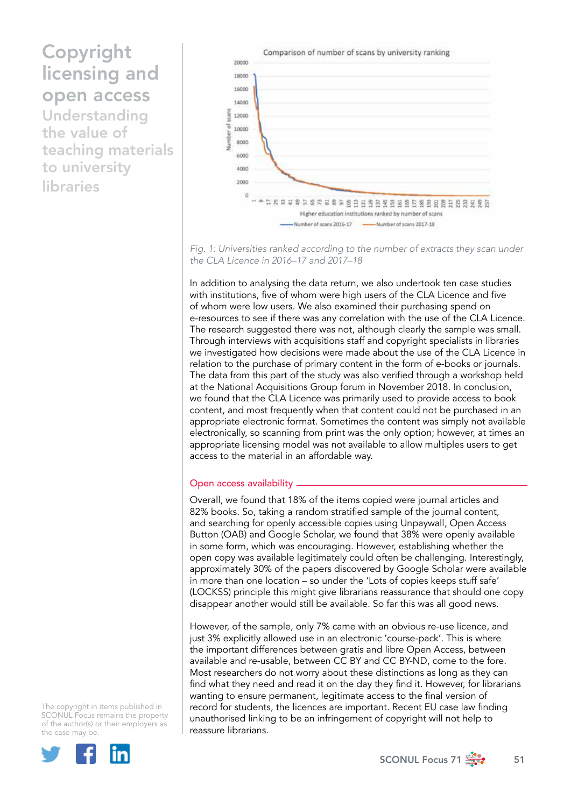# Copyright licensing and open access

Understanding the value of teaching materials to university libraries



Fig. 1: Universities ranked according to the number of extracts they scan under *the CLA Licence in 2016–17 and 2017–18*

In addition to analysing the data return, we also undertook ten case studies with institutions, five of whom were high users of the CLA Licence and five of whom were low users. We also examined their purchasing spend on e-resources to see if there was any correlation with the use of the CLA Licence. The research suggested there was not, although clearly the sample was small. Through interviews with acquisitions staff and copyright specialists in libraries we investigated how decisions were made about the use of the CLA Licence in relation to the purchase of primary content in the form of e-books or journals. The data from this part of the study was also verified through a workshop held at the National Acquisitions Group forum in November 2018. In conclusion, we found that the CLA Licence was primarily used to provide access to book content, and most frequently when that content could not be purchased in an appropriate electronic format. Sometimes the content was simply not available electronically, so scanning from print was the only option; however, at times an appropriate licensing model was not available to allow multiples users to get access to the material in an affordable way.

## Open access availability

Overall, we found that 18% of the items copied were journal articles and 82% books. So, taking a random stratified sample of the journal content, and searching for openly accessible copies using Unpaywall, Open Access Button (OAB) and Google Scholar, we found that 38% were openly available in some form, which was encouraging. However, establishing whether the open copy was available legitimately could often be challenging. Interestingly, approximately 30% of the papers discovered by Google Scholar were available in more than one location – so under the 'Lots of copies keeps stuff safe' (LOCKSS) principle this might give librarians reassurance that should one copy disappear another would still be available. So far this was all good news.

However, of the sample, only 7% came with an obvious re-use licence, and just 3% explicitly allowed use in an electronic 'course-pack'. This is where the important differences between gratis and libre Open Access, between available and re-usable, between CC BY and CC BY-ND, come to the fore. Most researchers do not worry about these distinctions as long as they can find what they need and read it on the day they find it. However, for librarians wanting to ensure permanent, legitimate access to the final version of record for students, the licences are important. Recent EU case law finding unauthorised linking to be an infringement of copyright will not help to reassure librarians.

The copyright in items published in SCONUL Focus remains the property of the author(s) or their employers as the case may be.



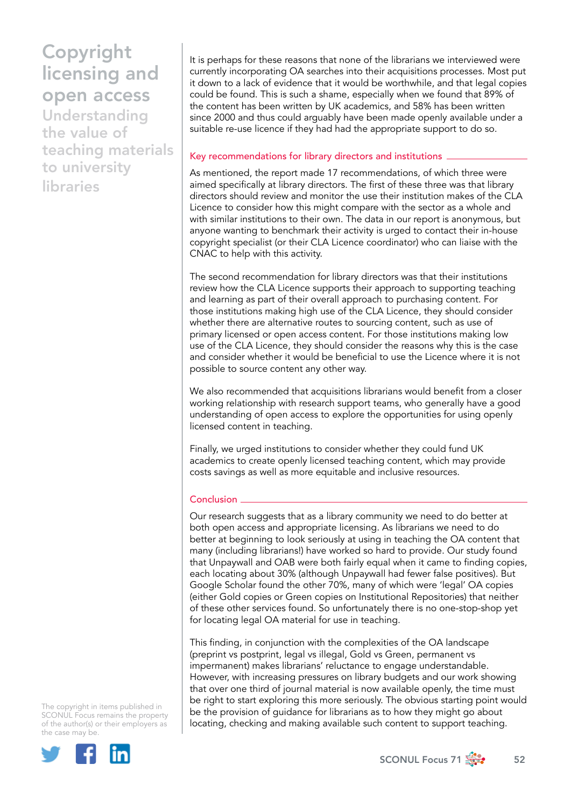# Copyright licensing and open access

Understanding the value of teaching materials to university libraries

It is perhaps for these reasons that none of the librarians we interviewed were currently incorporating OA searches into their acquisitions processes. Most put it down to a lack of evidence that it would be worthwhile, and that legal copies could be found. This is such a shame, especially when we found that 89% of the content has been written by UK academics, and 58% has been written since 2000 and thus could arguably have been made openly available under a suitable re-use licence if they had had the appropriate support to do so.

# Key recommendations for library directors and institutions  $\overline{\phantom{a}}$

As mentioned, the report made 17 recommendations, of which three were aimed specifically at library directors. The first of these three was that library directors should review and monitor the use their institution makes of the CLA Licence to consider how this might compare with the sector as a whole and with similar institutions to their own. The data in our report is anonymous, but anyone wanting to benchmark their activity is urged to contact their in-house copyright specialist (or their CLA Licence coordinator) who can liaise with the CNAC to help with this activity.

The second recommendation for library directors was that their institutions review how the CLA Licence supports their approach to supporting teaching and learning as part of their overall approach to purchasing content. For those institutions making high use of the CLA Licence, they should consider whether there are alternative routes to sourcing content, such as use of primary licensed or open access content. For those institutions making low use of the CLA Licence, they should consider the reasons why this is the case and consider whether it would be beneficial to use the Licence where it is not possible to source content any other way.

We also recommended that acquisitions librarians would benefit from a closer working relationship with research support teams, who generally have a good understanding of open access to explore the opportunities for using openly licensed content in teaching.

Finally, we urged institutions to consider whether they could fund UK academics to create openly licensed teaching content, which may provide costs savings as well as more equitable and inclusive resources.

# Conclusion

Our research suggests that as a library community we need to do better at both open access and appropriate licensing. As librarians we need to do better at beginning to look seriously at using in teaching the OA content that many (including librarians!) have worked so hard to provide. Our study found that Unpaywall and OAB were both fairly equal when it came to finding copies, each locating about 30% (although Unpaywall had fewer false positives). But Google Scholar found the other 70%, many of which were 'legal' OA copies (either Gold copies or Green copies on Institutional Repositories) that neither of these other services found. So unfortunately there is no one-stop-shop yet for locating legal OA material for use in teaching.

This finding, in conjunction with the complexities of the OA landscape (preprint vs postprint, legal vs illegal, Gold vs Green, permanent vs impermanent) makes librarians' reluctance to engage understandable. However, with increasing pressures on library budgets and our work showing that over one third of journal material is now available openly, the time must be right to start exploring this more seriously. The obvious starting point would be the provision of guidance for librarians as to how they might go about locating, checking and making available such content to support teaching.

The copyright in items published in SCONUL Focus remains the property of the author(s) or their employers as the case may be.